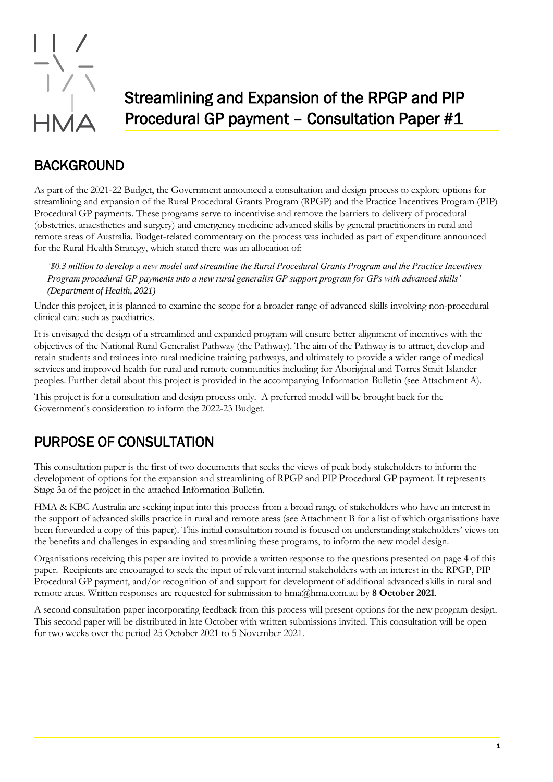

# Streamlining and Expansion of the RPGP and PIP Procedural GP payment – Consultation Paper #1

## BACKGROUND

As part of the 2021-22 Budget, the Government announced a consultation and design process to explore options for streamlining and expansion of the Rural Procedural Grants Program (RPGP) and the Practice Incentives Program (PIP) Procedural GP payments. These programs serve to incentivise and remove the barriers to delivery of procedural (obstetrics, anaesthetics and surgery) and emergency medicine advanced skills by general practitioners in rural and remote areas of Australia. Budget-related commentary on the process was included as part of expenditure announced for the Rural Health Strategy, which stated there was an allocation of:

*'\$0.3 million to develop a new model and streamline the Rural Procedural Grants Program and the Practice Incentives Program procedural GP payments into a new rural generalist GP support program for GPs with advanced skills' (Department of Health, 2021)*

Under this project, it is planned to examine the scope for a broader range of advanced skills involving non-procedural clinical care such as paediatrics.

It is envisaged the design of a streamlined and expanded program will ensure better alignment of incentives with the objectives of the National Rural Generalist Pathway (the Pathway). The aim of the Pathway is to attract, develop and retain students and trainees into rural medicine training pathways, and ultimately to provide a wider range of medical services and improved health for rural and remote communities including for Aboriginal and Torres Strait Islander peoples. Further detail about this project is provided in the accompanying Information Bulletin (see Attachment A).

This project is for a consultation and design process only. A preferred model will be brought back for the Government's consideration to inform the 2022-23 Budget.

### PURPOSE OF CONSULTATION

This consultation paper is the first of two documents that seeks the views of peak body stakeholders to inform the development of options for the expansion and streamlining of RPGP and PIP Procedural GP payment. It represents Stage 3a of the project in the attached Information Bulletin.

HMA & KBC Australia are seeking input into this process from a broad range of stakeholders who have an interest in the support of advanced skills practice in rural and remote areas (see Attachment B for a list of which organisations have been forwarded a copy of this paper). This initial consultation round is focused on understanding stakeholders' views on the benefits and challenges in expanding and streamlining these programs, to inform the new model design.

Organisations receiving this paper are invited to provide a written response to the questions presented on page 4 of this paper. Recipients are encouraged to seek the input of relevant internal stakeholders with an interest in the RPGP, PIP Procedural GP payment, and/or recognition of and support for development of additional advanced skills in rural and remote areas. Written responses are requested for submission to hma@hma.com.au by **8 October 2021**.

A second consultation paper incorporating feedback from this process will present options for the new program design. This second paper will be distributed in late October with written submissions invited. This consultation will be open for two weeks over the period 25 October 2021 to 5 November 2021.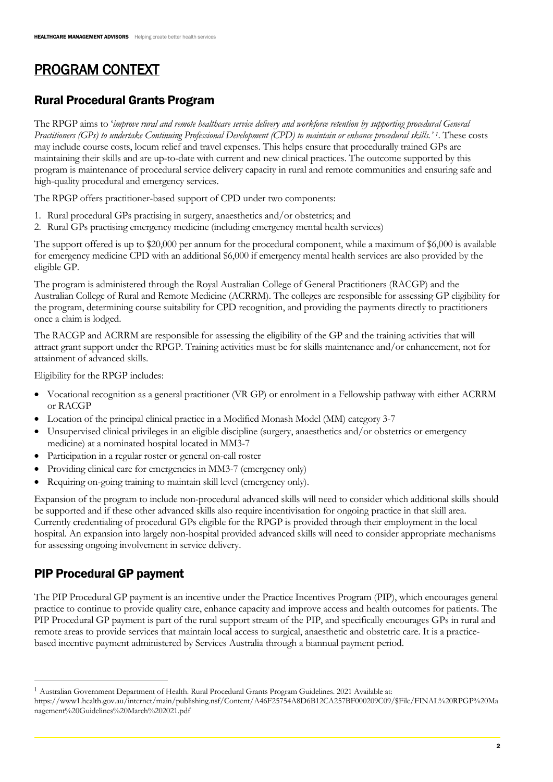# PROGRAM CONTEXT

#### Rural Procedural Grants Program

The RPGP aims to '*improve rural and remote healthcare service delivery and workforce retention by supporting procedural General Practitioners (GPs) to undertake Continuing Professional Development (CPD) to maintain or enhance procedural skills.' <sup>1</sup>* . These costs may include course costs, locum relief and travel expenses. This helps ensure that procedurally trained GPs are maintaining their skills and are up-to-date with current and new clinical practices. The outcome supported by this program is maintenance of procedural service delivery capacity in rural and remote communities and ensuring safe and high-quality procedural and emergency services.

The RPGP offers practitioner-based support of CPD under two components:

- 1. Rural procedural GPs practising in surgery, anaesthetics and/or obstetrics; and
- 2. Rural GPs practising emergency medicine (including emergency mental health services)

The support offered is up to \$20,000 per annum for the procedural component, while a maximum of \$6,000 is available for emergency medicine CPD with an additional \$6,000 if emergency mental health services are also provided by the eligible GP.

The program is administered through the Royal Australian College of General Practitioners (RACGP) and the Australian College of Rural and Remote Medicine (ACRRM). The colleges are responsible for assessing GP eligibility for the program, determining course suitability for CPD recognition, and providing the payments directly to practitioners once a claim is lodged.

The RACGP and ACRRM are responsible for assessing the eligibility of the GP and the training activities that will attract grant support under the RPGP. Training activities must be for skills maintenance and/or enhancement, not for attainment of advanced skills.

Eligibility for the RPGP includes:

- Vocational recognition as a general practitioner (VR GP) or enrolment in a Fellowship pathway with either ACRRM or RACGP
- Location of the principal clinical practice in a Modified Monash Model (MM) category 3-7
- Unsupervised clinical privileges in an eligible discipline (surgery, anaesthetics and/or obstetrics or emergency medicine) at a nominated hospital located in MM3-7
- Participation in a regular roster or general on-call roster
- Providing clinical care for emergencies in MM3-7 (emergency only)
- Requiring on-going training to maintain skill level (emergency only).

Expansion of the program to include non-procedural advanced skills will need to consider which additional skills should be supported and if these other advanced skills also require incentivisation for ongoing practice in that skill area. Currently credentialing of procedural GPs eligible for the RPGP is provided through their employment in the local hospital. An expansion into largely non-hospital provided advanced skills will need to consider appropriate mechanisms for assessing ongoing involvement in service delivery.

#### PIP Procedural GP payment

The PIP Procedural GP payment is an incentive under the Practice Incentives Program (PIP), which encourages general practice to continue to provide quality care, enhance capacity and improve access and health outcomes for patients. The PIP Procedural GP payment is part of the rural support stream of the PIP, and specifically encourages GPs in rural and remote areas to provide services that maintain local access to surgical, anaesthetic and obstetric care. It is a practicebased incentive payment administered by Services Australia through a biannual payment period.

<sup>1</sup> Australian Government Department of Health. Rural Procedural Grants Program Guidelines. 2021 Available at:

https://www1.health.gov.au/internet/main/publishing.nsf/Content/A46F25754A8D6B12CA257BF000209C09/\$File/FINAL%20RPGP%20Ma nagement%20Guidelines%20March%202021.pdf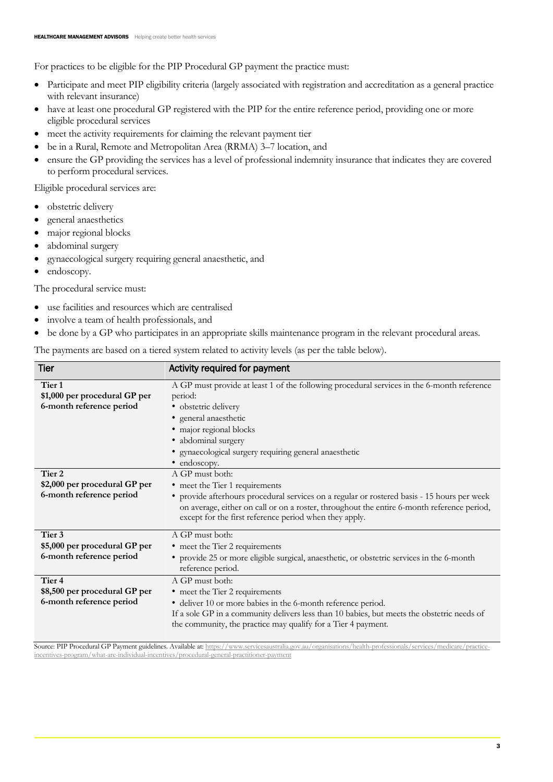For practices to be eligible for the PIP Procedural GP payment the practice must:

- Participate and meet PIP eligibility criteria (largely associated with registration and accreditation as a general practice with relevant insurance)
- have at least one procedural GP registered with the PIP for the entire reference period, providing one or more eligible procedural services
- meet the activity requirements for claiming the relevant payment tier
- be in a Rural, Remote and Metropolitan Area (RRMA) 3–7 location, and
- ensure the GP providing the services has a level of professional indemnity insurance that indicates they are covered to perform procedural services.

Eligible procedural services are:

- obstetric delivery
- general anaesthetics
- major regional blocks
- abdominal surgery
- gynaecological surgery requiring general anaesthetic, and
- endoscopy.

The procedural service must:

- use facilities and resources which are centralised
- involve a team of health professionals, and
- be done by a GP who participates in an appropriate skills maintenance program in the relevant procedural areas.

The payments are based on a tiered system related to activity levels (as per the table below).

| <b>Tier</b>                                                                    | Activity required for payment                                                                                                                                                                                                                                                                            |
|--------------------------------------------------------------------------------|----------------------------------------------------------------------------------------------------------------------------------------------------------------------------------------------------------------------------------------------------------------------------------------------------------|
| Tier <sub>1</sub><br>\$1,000 per procedural GP per<br>6-month reference period | A GP must provide at least 1 of the following procedural services in the 6-month reference<br>period:<br>· obstetric delivery<br>• general anaesthetic<br>· major regional blocks<br>· abdominal surgery<br>· gynaecological surgery requiring general anaesthetic<br>• endoscopy.                       |
| Tier 2<br>\$2,000 per procedural GP per<br>6-month reference period            | A GP must both:<br>• meet the Tier 1 requirements<br>• provide afterhours procedural services on a regular or rostered basis - 15 hours per week<br>on average, either on call or on a roster, throughout the entire 6-month reference period,<br>except for the first reference period when they apply. |
| Tier 3<br>\$5,000 per procedural GP per<br>6-month reference period            | A GP must both:<br>• meet the Tier 2 requirements<br>• provide 25 or more eligible surgical, anaesthetic, or obstetric services in the 6-month<br>reference period.                                                                                                                                      |
| Tier <sub>4</sub><br>\$8,500 per procedural GP per<br>6-month reference period | A GP must both:<br>• meet the Tier 2 requirements<br>· deliver 10 or more babies in the 6-month reference period.<br>If a sole GP in a community delivers less than 10 babies, but meets the obstetric needs of<br>the community, the practice may qualify for a Tier 4 payment.                         |

Source: PIP Procedural GP Payment guidelines. Available at[: https://www.servicesaustralia.gov.au/organisations/health-professionals/services/medicare/practice](https://www.servicesaustralia.gov.au/organisations/health-professionals/services/medicare/practice-incentives-program/what-are-individual-incentives/procedural-general-practitioner-payment)[incentives-program/what-are-individual-incentives/procedural-general-practitioner-payment](https://www.servicesaustralia.gov.au/organisations/health-professionals/services/medicare/practice-incentives-program/what-are-individual-incentives/procedural-general-practitioner-payment)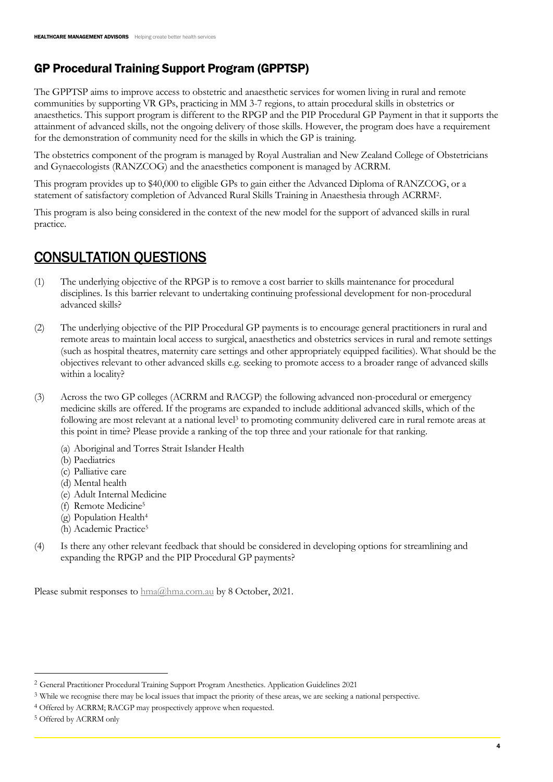#### GP Procedural Training Support Program (GPPTSP)

The GPPTSP aims to improve access to obstetric and anaesthetic services for women living in rural and remote communities by supporting VR GPs, practicing in MM 3-7 regions, to attain procedural skills in obstetrics or anaesthetics. This support program is different to the RPGP and the PIP Procedural GP Payment in that it supports the attainment of advanced skills, not the ongoing delivery of those skills. However, the program does have a requirement for the demonstration of community need for the skills in which the GP is training.

The obstetrics component of the program is managed by Royal Australian and New Zealand College of Obstetricians and Gynaecologists (RANZCOG) and the anaesthetics component is managed by ACRRM.

This program provides up to \$40,000 to eligible GPs to gain either the Advanced Diploma of RANZCOG, or a statement of satisfactory completion of Advanced Rural Skills Training in Anaesthesia through ACRRM<sup>2</sup> .

This program is also being considered in the context of the new model for the support of advanced skills in rural practice.

## CONSULTATION QUESTIONS

- (1) The underlying objective of the RPGP is to remove a cost barrier to skills maintenance for procedural disciplines. Is this barrier relevant to undertaking continuing professional development for non-procedural advanced skills?
- (2) The underlying objective of the PIP Procedural GP payments is to encourage general practitioners in rural and remote areas to maintain local access to surgical, anaesthetics and obstetrics services in rural and remote settings (such as hospital theatres, maternity care settings and other appropriately equipped facilities). What should be the objectives relevant to other advanced skills e.g. seeking to promote access to a broader range of advanced skills within a locality?
- (3) Across the two GP colleges (ACRRM and RACGP) the following advanced non-procedural or emergency medicine skills are offered. If the programs are expanded to include additional advanced skills, which of the following are most relevant at a national level<sup>3</sup> to promoting community delivered care in rural remote areas at this point in time? Please provide a ranking of the top three and your rationale for that ranking.
	- (a) Aboriginal and Torres Strait Islander Health
	- (b) Paediatrics
	- (c) Palliative care
	- (d) Mental health
	- (e) Adult Internal Medicine
	- (f) Remote Medicine<sup>5</sup>
	- (g) Population Health<sup>4</sup>
	- (h) Academic Practice<sup>5</sup>
- (4) Is there any other relevant feedback that should be considered in developing options for streamlining and expanding the RPGP and the PIP Procedural GP payments?

Please submit responses to  $hma@hma.com.au$  by 8 October, 2021.

<sup>2</sup> General Practitioner Procedural Training Support Program Anesthetics. Application Guidelines 2021

<sup>3</sup> While we recognise there may be local issues that impact the priority of these areas, we are seeking a national perspective.

<sup>4</sup> Offered by ACRRM; RACGP may prospectively approve when requested.

<sup>5</sup> Offered by ACRRM only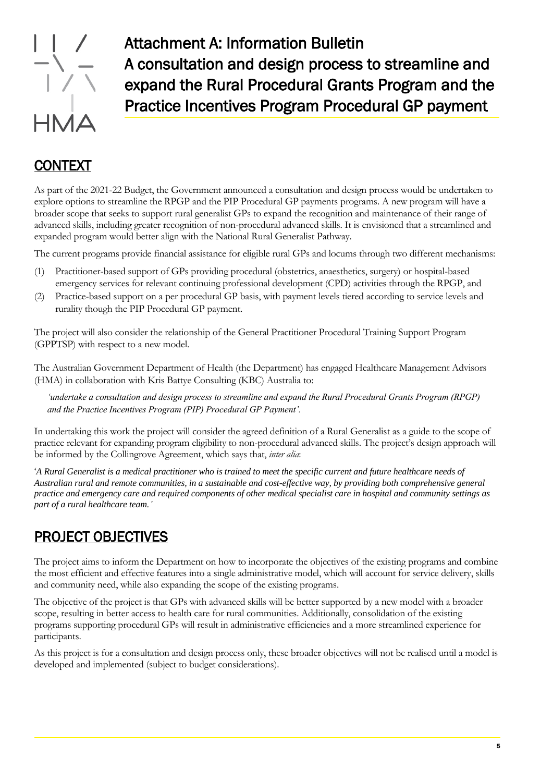

Attachment A: Information Bulletin A consultation and design process to streamline and expand the Rural Procedural Grants Program and the Practice Incentives Program Procedural GP payment

#### CONTEXT

As part of the 2021-22 Budget, the Government announced a consultation and design process would be undertaken to explore options to streamline the RPGP and the PIP Procedural GP payments programs. A new program will have a broader scope that seeks to support rural generalist GPs to expand the recognition and maintenance of their range of advanced skills, including greater recognition of non-procedural advanced skills. It is envisioned that a streamlined and expanded program would better align with the National Rural Generalist Pathway.

The current programs provide financial assistance for eligible rural GPs and locums through two different mechanisms:

- (1) Practitioner-based support of GPs providing procedural (obstetrics, anaesthetics, surgery) or hospital-based emergency services for relevant continuing professional development (CPD) activities through the RPGP, and
- (2) Practice-based support on a per procedural GP basis, with payment levels tiered according to service levels and rurality though the PIP Procedural GP payment.

The project will also consider the relationship of the General Practitioner Procedural Training Support Program (GPPTSP) with respect to a new model.

The Australian Government Department of Health (the Department) has engaged Healthcare Management Advisors (HMA) in collaboration with Kris Battye Consulting (KBC) Australia to:

*'undertake a consultation and design process to streamline and expand the Rural Procedural Grants Program (RPGP) and the Practice Incentives Program (PIP) Procedural GP Payment'.* 

In undertaking this work the project will consider the agreed definition of a Rural Generalist as a guide to the scope of practice relevant for expanding program eligibility to non-procedural advanced skills. The project's design approach will be informed by the Collingrove Agreement, which says that, *inter alia*:

'*A Rural Generalist is a medical practitioner who is trained to meet the specific current and future healthcare needs of Australian rural and remote communities, in a sustainable and cost-effective way, by providing both comprehensive general practice and emergency care and required components of other medical specialist care in hospital and community settings as part of a rural healthcare team.'*

### PROJECT OBJECTIVES

The project aims to inform the Department on how to incorporate the objectives of the existing programs and combine the most efficient and effective features into a single administrative model, which will account for service delivery, skills and community need, while also expanding the scope of the existing programs.

The objective of the project is that GPs with advanced skills will be better supported by a new model with a broader scope, resulting in better access to health care for rural communities. Additionally, consolidation of the existing programs supporting procedural GPs will result in administrative efficiencies and a more streamlined experience for participants.

As this project is for a consultation and design process only, these broader objectives will not be realised until a model is developed and implemented (subject to budget considerations).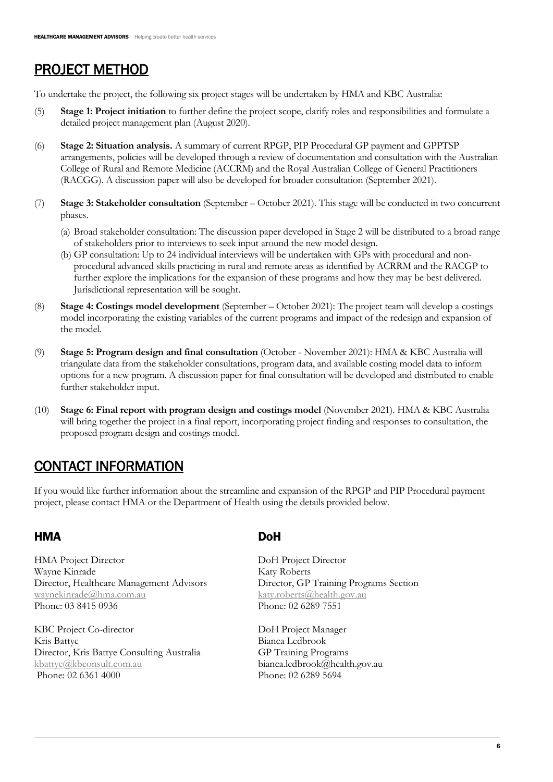## PROJECT METHOD

To undertake the project, the following six project stages will be undertaken by HMA and KBC Australia:

- (5) **Stage 1: Project initiation** to further define the project scope, clarify roles and responsibilities and formulate a detailed project management plan (August 2020).
- (6) **Stage 2: Situation analysis.** A summary of current RPGP, PIP Procedural GP payment and GPPTSP arrangements, policies will be developed through a review of documentation and consultation with the Australian College of Rural and Remote Medicine (ACCRM) and the Royal Australian College of General Practitioners (RACGG). A discussion paper will also be developed for broader consultation (September 2021).
- (7) **Stage 3: Stakeholder consultation** (September October 2021). This stage will be conducted in two concurrent phases.
	- (a) Broad stakeholder consultation: The discussion paper developed in Stage 2 will be distributed to a broad range of stakeholders prior to interviews to seek input around the new model design.
	- (b) GP consultation: Up to 24 individual interviews will be undertaken with GPs with procedural and nonprocedural advanced skills practicing in rural and remote areas as identified by ACRRM and the RACGP to further explore the implications for the expansion of these programs and how they may be best delivered. Jurisdictional representation will be sought.
- (8) **Stage 4: Costings model development** (September October 2021): The project team will develop a costings model incorporating the existing variables of the current programs and impact of the redesign and expansion of the model.
- (9) **Stage 5: Program design and final consultation** (October November 2021): HMA & KBC Australia will triangulate data from the stakeholder consultations, program data, and available costing model data to inform options for a new program. A discussion paper for final consultation will be developed and distributed to enable further stakeholder input.
- (10) **Stage 6: Final report with program design and costings model** (November 2021). HMA & KBC Australia will bring together the project in a final report, incorporating project finding and responses to consultation, the proposed program design and costings model.

### CONTACT INFORMATION

If you would like further information about the streamline and expansion of the RPGP and PIP Procedural payment project, please contact HMA or the Department of Health using the details provided below.

#### HMA DoH

HMA Project Director Wayne Kinrade Director, Healthcare Management Advisors [waynekinrade@hma.com.au](mailto:waynekinrade@hma.com.au) Phone: 03 8415 0936

KBC Project Co-director Kris Battye Director, Kris Battye Consulting Australia [kbattye@kbconsult.com.au](mailto:kbattye@kbconsult.com.au) Phone: 02 6361 4000

DoH Project Director Katy Roberts Director, GP Training Programs Section [katy.roberts@health.gov.au](mailto:katy.roberts@health.gov.au) Phone: 02 6289 7551

DoH Project Manager Bianca Ledbrook GP Training Programs bianca.ledbrook@health.gov.au Phone: 02 6289 5694